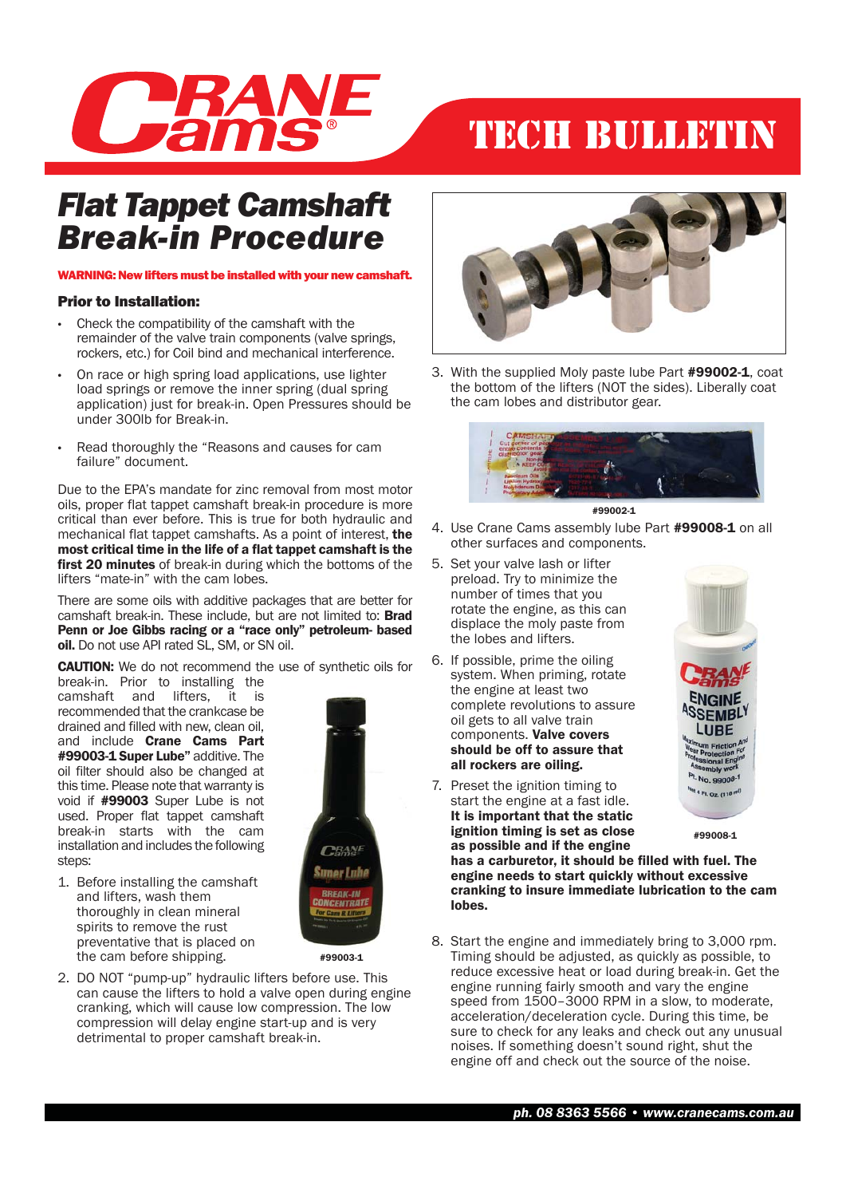

## TECH BULLETIN

### *Flat Tappet Camshaft Break-in Procedure*

#### WARNING: New lifters must be installed with your new camshaft.

#### Prior to Installation:

- Check the compatibility of the camshaft with the remainder of the valve train components (valve springs, rockers, etc.) for Coil bind and mechanical interference.
- On race or high spring load applications, use lighter load springs or remove the inner spring (dual spring application) just for break-in. Open Pressures should be under 300lb for Break-in.
- Read thoroughly the "Reasons and causes for cam failure" document.

Due to the EPA's mandate for zinc removal from most motor oils, proper flat tappet camshaft break-in procedure is more critical than ever before. This is true for both hydraulic and mechanical flat tappet camshafts. As a point of interest, the most critical time in the life of a flat tappet camshaft is the **first 20 minutes** of break-in during which the bottoms of the lifters "mate-in" with the cam lobes.

There are some oils with additive packages that are better for camshaft break-in. These include, but are not limited to: Brad Penn or Joe Gibbs racing or a "race only" petroleum- based oil. Do not use API rated SL, SM, or SN oil.

CAUTION: We do not recommend the use of synthetic oils for break-in. Prior to installing the

camshaft and lifters, it is recommended that the crankcase be drained and filled with new, clean oil, and include Crane Cams Part #99003-1 Super Lube" additive. The oil filter should also be changed at this time. Please note that warranty is void if #99003 Super Lube is not used. Proper flat tappet camshaft break-in starts with the cam installation and includes the following steps:

1. Before installing the camshaft and lifters, wash them thoroughly in clean mineral spirits to remove the rust preventative that is placed on the cam before shipping.



#99003-1

2. DO NOT "pump-up" hydraulic lifters before use. This can cause the lifters to hold a valve open during engine cranking, which will cause low compression. The low compression will delay engine start-up and is very detrimental to proper camshaft break-in.



3. With the supplied Moly paste lube Part #99002-1, coat the bottom of the lifters (NOT the sides). Liberally coat the cam lobes and distributor gear.





- 4. Use Crane Cams assembly lube Part #99008-1 on all other surfaces and components.
- 5. Set your valve lash or lifter preload. Try to minimize the number of times that you rotate the engine, as this can displace the moly paste from the lobes and lifters.
- 6. If possible, prime the oiling system. When priming, rotate the engine at least two complete revolutions to assure oil gets to all valve train components. Valve covers should be off to assure that all rockers are oiling.
- 7. Preset the ignition timing to start the engine at a fast idle. It is important that the static ignition timing is set as close as possible and if the engine

9900

#99008-1

has a carburetor, it should be filled with fuel. The engine needs to start quickly without excessive cranking to insure immediate lubrication to the cam lobes.

8. Start the engine and immediately bring to 3,000 rpm. Timing should be adjusted, as quickly as possible, to reduce excessive heat or load during break-in. Get the engine running fairly smooth and vary the engine speed from 1500–3000 RPM in a slow, to moderate, acceleration/deceleration cycle. During this time, be sure to check for any leaks and check out any unusual noises. If something doesn't sound right, shut the engine off and check out the source of the noise.